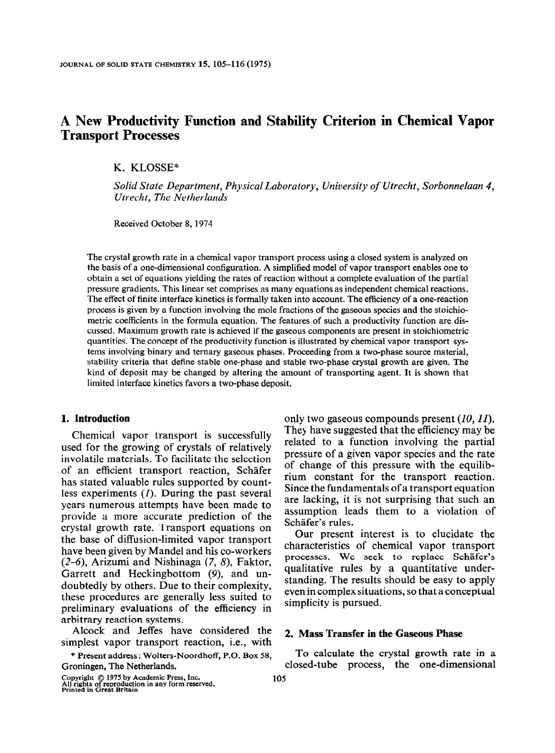# A New Productivity Function and Stability Criterion in Chemical Vapor Transport Processes

K. KLOSSE"

Solid State Department, Physical Laboratory, University of Utrecht, Sorbonnelaan 4, Utrecht, The Netherlands

Received October 8,1974

The crystal growth rate in a chemical vapor transport process using a closed system is analyzed on the basis of a one-dimensional configuration. A simplified model of vapor transport enables one to obtain a set of equations yielding the rates of reaction without a complete evaluation of the partial pressure gradients. This linear set comprises as many equations as independent chemical reactions. The effect of finite interface kinetics is formally taken into account. The efficiency of a one-reaction process is given by a function involving the mole fractions of the gaseous species and the stoichiometric coefficients in the formula equation. The features of such a productivity function are discussed. Maximum growth rate is achieved if the gaseous components are present in stoichiometric quantities. The concept of the productivity function is illustrated by chemical vapor transport systems involving binary and ternary gaseous phases. Proceeding from a two-phase source material, stability criteria that define stable one-phase and stable two-phase crystal growth are given. The kind of deposit may be changed by altering the amount of transporting agent. It is shown that limited interface kinetics favors a two-phase deposit.

#### 1. Introduction

Chemical vapor transport is successfully used for the growing of crystals of relatively involatile materials. To facilitate the selection of an efficient transport reaction, Schafer has stated valuable rules supported by countless experiments (I). During the past several years numerous attempts have been made to provide a more accurate prediction of the crystal growth rate. Transport equations on the base of diffusion-limited vapor transport have been given by Mandel and his co-workers  $(2-6)$ , Arizumi and Nishinaga  $(7, 8)$ , Faktor, Garrett and Heckingbottom (9), and undoubtedly by others. Due to their complexity, these procedures are generally less suited to preliminary evaluations of the efficiency in arbitrary reaction systems.

Alcock and Jeffes have considered the simplest vapor transport reaction, i.e., with

\* Present address: Wolters-Noordhoff, P.O. Box 58, Groningen, The Netherlands.

Copyright © 1975 by Academic Press, Inc.<br>All rights of reproduction in any form reserved<br>Printed in Great Britain

only two gaseous compounds present (10, II). They have suggested that the efficiency may be related to a function involving the partial pressure of a given vapor species and the rate of change of this pressure with the equilibrium constant for the transport reaction. Since the fundamentals of a transport equation are lacking, it is not surprising that such an assumption leads them to a violation of Schäfer's rules.

Our present interest is to elucidate the characteristics of chemical vapor transport processes. We seek to replace Schäfer's qualitative rules by a quantitative understanding. The results should be easy to apply even in complex situations, so that a conceptual simplicity is pursued.

#### 2. Mass Transfer in the Gaseous Phase

To calculate the crystal growth rate in a closed-tube process, the one-dimensional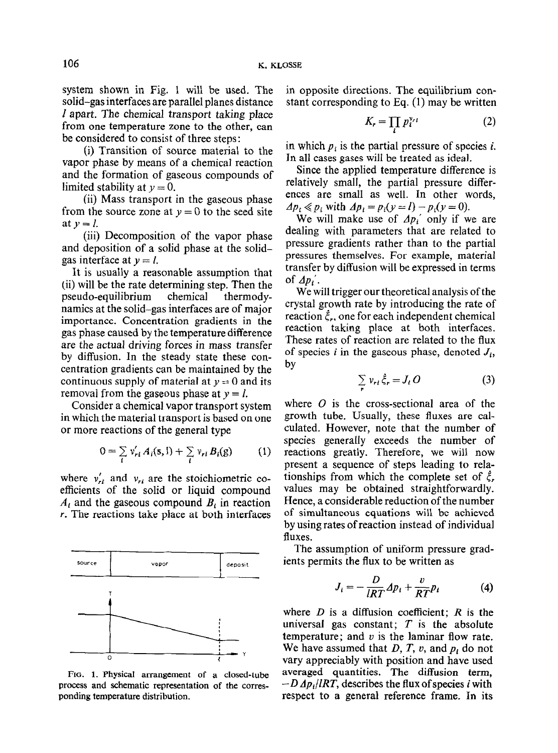system shown in Fig. 1 will be used. The solid-gas interfaces are parallel planes distance 1 apart. The chemical transport taking place from one temperature zone to the other, can be considered to consist of three steps :

(i) Transition of source material to the vapor phase by means of a chemical reaction and the formation of gaseous compounds of limited stability at  $y = 0$ .

(ii) Mass transport in the gaseous phase from the source zone at  $y = 0$  to the seed site at  $y = l$ .

(iii) Decomposition of the vapor phase and deposition of a solid phase at the solidgas interface at  $y = l$ .

It is usually a reasonable assumption that (ii) will be the rate determining step. Then the pseudo-equilibrium chemical thermodynamics at the solid-gas interfaces are of major importance. Concentration gradients in the gas phase caused by the temperature difference are the actual driving forces in mass transfer by diffusion. In the steady state these concentration gradients can be maintained by the continuous supply of material at  $y = 0$  and its removal from the gaseous phase at  $y = l$ .

Consider a chemical vapor transport system in which the material transport is based on one or more reactions of the general type

$$
0 = \sum_{i} v'_{ri} A_i(s, l) + \sum_{i} v_{ri} B_i(g) \qquad (1)
$$

where  $v'_{ri}$  and  $v_{ri}$  are the stoichiometric coefficients of the solid or liquid compound  $A_t$  and the gaseous compound  $B_t$  in reaction r. The reactions take place at both interfaces



FIG. 1. Physical arrangement of a closed-tube process and schematic representation of the corresponding temperature distribution.

in opposite directions. The equilibrium constant corresponding to Eq. (1) may be written

$$
K_r = \prod_i p_i^{\nu_{i'}} \tag{2}
$$

in which  $p_i$  is the partial pressure of species *i*. In all cases gases will be treated as ideal.

Since the applied temperature difference is relatively small, the partial pressure differences are small as well. In other words,  $\Delta p_i \ll p_i$  with  $\Delta p_i = p_i(y = l) - p_i(y = 0)$ .

We will make use of  $Ap_i'$  only if we are dealing with parameters that are related to pressure gradients rather than to the partial pressures themselves. For example, material transfer by diffusion will be expressed in terms of  $\Delta p_i'$ .

We will trigger our theoretical analysis of the crystal growth rate by introducing the rate of reaction  $\xi_r$ , one for each independent chemical reaction taking place at both interfaces. These rates of reaction are related to the flux of species *i* in the gaseous phase, denoted  $J_i$ , by

$$
\sum_{i} v_{ri} \dot{\xi}_r = J_i O \tag{3}
$$

where  $O$  is the cross-sectional area of the growth tube. Usually, these fluxes are calculated. However, note that the number of species generally exceeds the number of reactions greatly. Therefore, we will now present a sequence of steps leading to relationships from which the complete set of  $\xi$ . values may be obtained straightforwardly. Hence, a considerable reduction of the number of simultaneous equations will be achieved by using rates of reaction instead of individual fluxes.

The assumption of uniform pressure gradients permits the flux to be written as

$$
J_i = -\frac{D}{lRT} \Delta p_i + \frac{v}{RT} p_i \tag{4}
$$

where  $D$  is a diffusion coefficient;  $R$  is the universal gas constant;  $T$  is the absolute temperature; and  $v$  is the laminar flow rate. We have assumed that  $D, T, v$ , and  $p<sub>i</sub>$  do not vary appreciably with position and have used averaged quantities. The diffusion term,  $-D \Delta p_i / IRT$ , describes the flux of species i with respect to a general reference frame. In its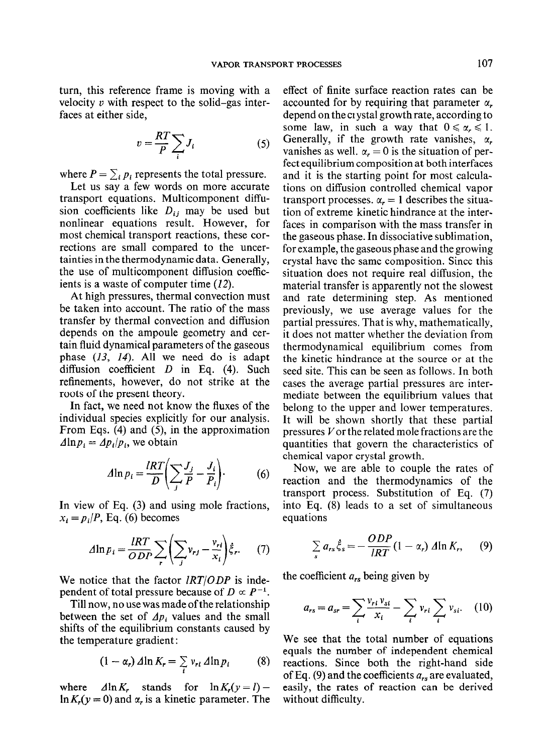turn, this reference frame is moving with a velocity  $v$  with respect to the solid-gas interfaces at either side,

$$
v = \frac{RT}{P} \sum_{i} J_i \tag{5}
$$

where  $P = \sum_i p_i$  represents the total pressure.

Let us say a few words on more accurate transport equations. Multicomponent diffusion coefficients like  $D_{ij}$  may be used but nonlinear equations result. However, for most chemical transport reactions, these corrections are small compared to the uncertainties in the thermodynamic data. Generally, the use of multicomponent diffusion coefficients is a waste of computer time  $(12)$ .

At high pressures, thermal convection must be taken into account. The ratio of the mass transfer by thermal convection and diffusion depends on the ampoule geometry and certain fluid dynamical parameters of the gaseous phase  $(13, 14)$ . All we need do is adapt diffusion coefficient  $D$  in Eq. (4). Such refinements, however, do not strike at the roots of the present theory.

In fact, we need not know the fluxes of the individual species explicitly for our analysis. From Eqs. (4) and (5), in the approximation  $\Delta \ln p_i = \Delta p_i / p_i$ , we obtain

$$
\Delta \ln p_i = \frac{IRT}{D} \left( \sum_j \frac{J_j}{P} - \frac{J_i}{P_i} \right). \tag{6}
$$

In view of Eq. (3) and using mole fractions,  $x_i = p_i/P$ , Eq. (6) becomes

$$
\Delta \ln p_i = \frac{IRT}{ODP} \sum_{r} \left( \sum_{j} v_{rj} - \frac{v_{rl}}{x_i} \right) \xi_r. \tag{7}
$$

We notice that the factor  $lRT/ODP$  is independent of total pressure because of  $D \propto P^{-1}$ .

Till now, no use was made ofthe relationship between the set of  $\Delta p_i$  values and the small shifts of the equilibrium constants caused by the temperature gradient :

$$
(1 - \alpha_r) \Delta \ln K_r = \sum_i v_{ri} \Delta \ln p_i \qquad (8)
$$

where  $\Delta \ln K_r$  stands for  $\ln K_r(y=l)$  –  $\ln K$ ,  $(y = 0)$  and  $\alpha$ , is a kinetic parameter. The

effect of finite surface reaction rates can be accounted for by requiring that parameter  $\alpha$ . depend on the ci ystal growth rate, according to some law, in such a way that  $0 \le \alpha_r \le 1$ . Generally, if the growth rate vanishes,  $\alpha$ , vanishes as well.  $\alpha_r = 0$  is the situation of perfect equilibrium composition at both interfaces and it is the starting point for most calculations on diffusion controlled chemical vapor transport processes.  $\alpha_r = 1$  describes the situation of extreme kinetic hindrance at the interfaces in comparison with the mass transfer in the gaseous phase. In dissociative sublimation, for example, the gaseous phase and the growing crystal have the same composition. Since this situation does not require real diffusion, the material transfer is apparently not the slowest and rate determining step. As mentioned previously, we use average values for the partial pressures. That is why, mathematically, it does not matter whether the deviation from thermodynamical equilibrium comes from the kinetic hindrance at the source or at the seed site. This can be seen as follows. In both cases the average partial pressures are intermediate between the equilibrium values that belong to the upper and lower temperatures. It will be shown shortly that these partial pressures Vor the related mole fractions are the quantities that govern the characteristics of chemical vapor crystal growth.

Now, we are able to couple the rates of reaction and the thermodynamics of the transport process. Substitution of Eq. (7) into Eq. (8) leads to a set of simultaneous equations

$$
\sum_{s} a_{rs} \dot{\xi}_{s} = -\frac{ODP}{IRT} (1 - \alpha_{r}) \Delta \ln K_{r}, \qquad (9)
$$

the coefficient  $a_{rs}$  being given by

$$
a_{rs} = a_{sr} = \sum_{i} \frac{v_{ri} v_{si}}{x_i} - \sum_{i} v_{ri} \sum_{i} v_{si}. \quad (10)
$$

We see that the total number of equations equals the number of independent chemical reactions. Since both the right-hand side of Eq. (9) and the coefficients  $a_{rs}$  are evaluated, easily, the rates of reaction can be derived without difficulty.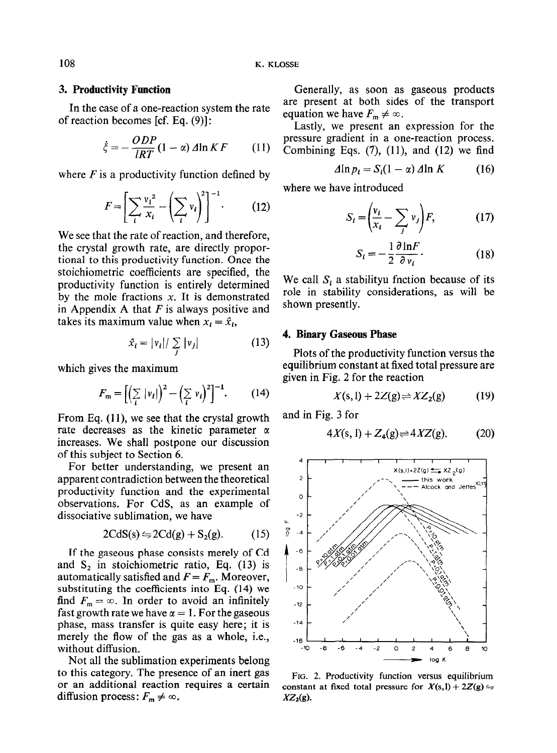# 3. Productivity Function

In the case of a one-reaction system the rate of reaction becomes [cf. Eq. (9)]:

$$
\dot{\xi} = -\frac{ODP}{IRT}(1-\alpha)\Delta \ln KF \qquad (11)
$$

where  $F$  is a productivity function defined by

$$
F = \left[\sum_{i} \frac{v_i^2}{x_i} - \left(\sum_{i} v_i\right)^2\right]^{-1}.\tag{12}
$$

We see that the rate of reaction, and therefore, the crystal growth rate, are directly proportional to this productivity function. Once the stoichiometric coefficients are specified, the productivity function is entirely determined by the mole fractions  $x$ . It is demonstrated in Appendix A that  $F$  is always positive and takes its maximum value when  $x_i = \hat{x}_i$ ,

$$
\hat{x}_i = |v_i| / \sum_j |v_j| \tag{13}
$$

which gives the maximum

$$
F_{\mathbf{m}} = \left[ \left( \sum_{i} |v_i| \right)^2 - \left( \sum_{i} v_i \right)^2 \right]^{-1} . \tag{14}
$$

From Eq.  $(11)$ , we see that the crystal growth rate decreases as the kinetic parameter  $\alpha$ increases. We shall postpone our discussion of this subject to Section 6.

For better understanding, we present an apparent contradiction between the theoretical productivity function and the experimental observations. For CdS, as an example of dissociative sublimation, we have

$$
2CdS(s) \leftrightharpoons 2Cd(g) + S_2(g). \tag{15}
$$

If the gaseous phase consists merely of Cd and  $S_2$  in stoichiometric ratio, Eq. (13) is automatically satisfied and  $F = F_m$ . Moreover, substituting the coefficients into Eq. (14) we find  $F_m = \infty$ . In order to avoid an infinitely fast growth rate we have  $\alpha = 1$ . For the gaseous phase, mass transfer is quite easy here; it is merely the flow of the gas as a whole, i.e., without diffusion.

Not all the sublimation experiments belong to this category. The presence of an inert gas or an additional reaction requires a certain diffusion process:  $F_m \neq \infty$ .

Generally, as soon as gaseous products are present at both sides of the transport equation we have  $F_m \neq \infty$ .

Lastly, we present an expression for the pressure gradient in a one-reaction process. Combining Eqs.  $(7)$ ,  $(11)$ , and  $(12)$  we find

$$
\Delta \ln p_i = S_i (1 - \alpha) \, \Delta \ln K \tag{16}
$$

where we have introduced

$$
S_i = \left(\frac{v_i}{x_i} - \sum_j v_j\right) F,\tag{17}
$$

$$
S_i = -\frac{1}{2} \frac{\partial \ln F}{\partial v_i}.
$$
 (18)

We call  $S_i$  a stabilityu fnotion because of its role in stability considerations, as will be shown presently.

# 4. Binary Gaseous Phase

Plots of the productivity function versus the equilibrium constant at fixed total pressure are given in Fig. 2 for the reaction

$$
X(s,1) + 2Z(g) \rightleftharpoons XZ_2(g) \tag{19}
$$

and in Fig. 3 for

$$
4X(s, 1) + Z_4(g) \rightleftharpoons 4XZ(g). \tag{20}
$$



FIG. 2. Productivity function versus equilibrium constant at fixed total pressure for  $X(s, l) + 2Z(g) \rightleftharpoons$  $XZ_2(g)$ .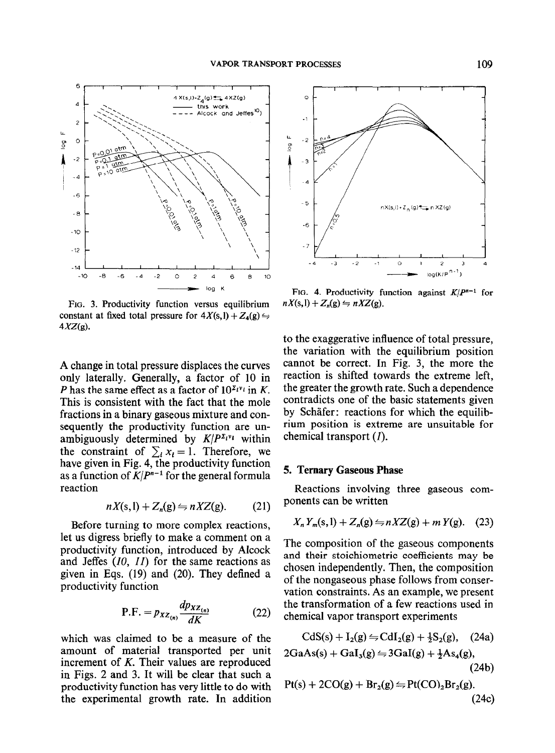

FIG. 3. Productivity function versus equilibrium constant at fixed total pressure for  $4X(s,1) + Z_4(g) \rightleftharpoons$  $4XZ(g)$ .

A change in total pressure displaces the curves only laterally. Generally, a factor of 10 in P has the same effect as a factor of  $10^{z_i v_i}$  in K. This is consistent with the fact that the mole fractions in a binary gaseous mixture and consequently the productivity function are unambiguously determined by  $K/P^{\Sigma_i v_i}$  within the constraint of  $\sum_i x_i = 1$ . Therefore, we have given in Fig. 4, the productivity function as a function of  $K/P^{n-1}$  for the general formula reaction

$$
nX(s,1) + Z_n(g) \le nXZ(g). \tag{21}
$$

Before turning to more complex reactions, let us digress briefly to make a comment on a productivity function, introduced by Alcock and Jeffes (10, II) for the same reactions as given in Eqs. (19) and (20). They defined a productivity function

$$
P.F. = p_{XZ_{(n)}} \frac{dp_{XZ_{(n)}}}{dK}
$$
 (22)

which was claimed to be a measure of the amount of material transported per unit increment of K. Their values are reproduced in Figs. 2 and 3. It will be clear that such a productivity function has very little to do with the experimental growth rate. In addition



FIG. 4. Productivity function against  $K/P^{n-1}$  for  $nX(\mathbf{s},\mathbf{l}) + Z_n(\mathbf{g}) \leftrightharpoons nXZ(\mathbf{g}).$ 

to the exaggerative influence of total pressure, the variation with the equilibrium position cannot be correct. In Fig. 3, the more the reaction is shifted towards the extreme left, the greater the growth rate. Such a dependence contradicts one of the basic statements given by Schafer: reactions for which the equilibrium position is extreme are unsuitable for chemical transport (I).

## 5. Ternary Gaseous Phase

Reactions involving three gaseous components can be written

$$
X_n Y_m(s, l) + Z_n(g) \leftrightharpoons nXZ(g) + mY(g). \quad (23)
$$

The composition of the gaseous components and their stoichiometric coefficients may be chosen independently. Then, the composition of the nongaseous phase follows from conservation constraints. As an example, we present the transformation of a few reactions used in chemical vapor transport experiments

$$
CdS(s) + I_2(g) \Leftrightarrow CdI_2(g) + \frac{1}{2}S_2(g), \quad (24a)
$$
  
2GaAs(s) + GaI\_3(g) \Leftrightarrow 3GaI(g) + \frac{1}{2}As\_4(g),  
(24b)

$$
Pt(s) + 2CO(g) + Br_2(g) \Leftrightarrow Pt(CO)_2Br_2(g).
$$
\n(24c)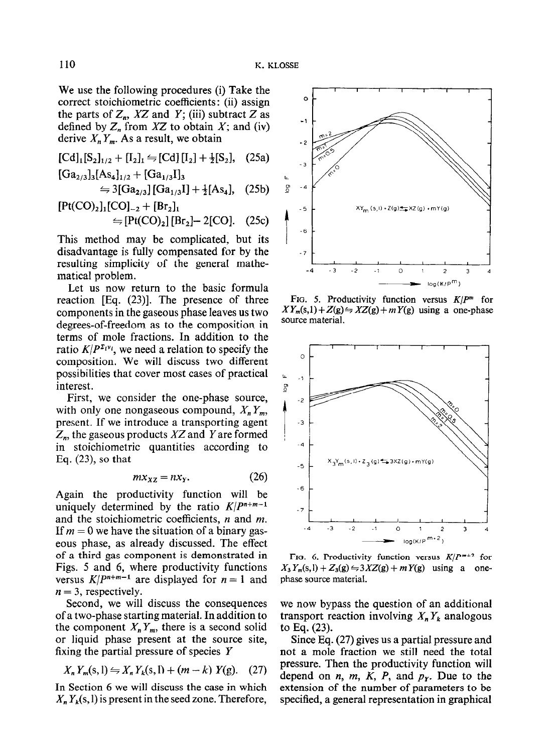We use the following procedures (i) Take the correct stoichiometric coefficients : (ii) assign the parts of  $Z_n$ , XZ and Y; (iii) subtract Z as defined by  $Z_n$  from  $XZ$  to obtain  $X$ ; and (iv) derive  $X_n Y_m$ . As a result, we obtain

$$
[Cd]_1[S_2]_{1/2} + [I_2]_1 \leftrightharpoons [Cd] [I_2] + \frac{1}{2} [S_2], \quad (25a)
$$

$$
[\text{Ga}_{2/3}]_3[\text{As}_4]_{1/2} + [\text{Ga}_{1/3}I]_3
$$
  
\n
$$
\cong 3[\text{Ga}_{2/3}][\text{Ga}_{1/3}I] + \frac{1}{2}[\text{As}_4], \quad (25b)
$$
  
\n
$$
[\text{Pt(CO)}_2]_1[\text{CO}]_{-2} + [\text{Br}_2]_1
$$
  
\n
$$
\cong [\text{Pt(CO)}_2][\text{Br}_2] - 2[\text{CO}]. \quad (25c)
$$

This method may be complicated, but its disadvantage is fully compensated for by the resulting simplicity of the general mathematical problem.

Let us now return to the basic formula reaction [Eq. (23)]. The presence of three components in the gaseous phase leaves us two degrees-of-freedom as to the composition in terms of mole fractions. In addition to the ratio  $K/P^{\Sigma_{i}v_{i}}$ , we need a relation to specify the composition. We will discuss two different possibilities that cover most cases of practical interest.

First, we consider the one-phase source, with only one nongaseous compound,  $X_n Y_m$ , present. If we introduce a transporting agent  $Z_n$ , the gaseous products XZ and Y are formed in stoichiometric quantities according to Eq. (23), so that

$$
mx_{XZ} = nx_Y. \t\t(26)
$$

Again the productivity function will be uniquely determined by the ratio  $K/P^{n+m-1}$ and the stoichiometric coefficients,  $n$  and  $m$ . If  $m = 0$  we have the situation of a binary gaseous phase, as already discussed. The effect of a third gas component is demonstrated in Figs. 5 and 6, where productivity functions versus  $K/P^{n+m-1}$  are displayed for  $n = 1$  and  $n = 3$ , respectively.

Second, we will discuss the consequences of a two-phase starting material. In addition to the component  $X_n Y_m$ , there is a second solid or liquid phase present at the source site, fixing the partial pressure of species Y

$$
X_n Y_m(s, l) \leftrightharpoons X_n Y_k(s, l) + (m - k) Y(g). \quad (27)
$$

In Section 6 we will discuss the case in which  $X_n Y_k(s, l)$  is present in the seed zone. Therefore,



FIG. 5. Productivity function versus  $K/P^m$  for  $XY_m(s,1) + Z(g) \leftrightharpoons XZ(g) + mY(g)$  using a one-phase source material.



FIG. 6. Productivity function versus  $K/P^{m+2}$  for  $X_3 Y_m(s, l) + Z_3(g) \leftrightharpoons 3XZ(g) + mY(g)$  using a onephase source material.

we now bypass the question of an additional transport reaction involving  $X_n Y_k$  analogous to Eq. (23).

Since Eq. (27) gives us a partial pressure and not a mole fraction we still need the total pressure. Then the productivity function will depend on *n*, *m*, *K*, *P*, and  $p<sub>r</sub>$ . Due to the extension of the number of parameters to be specified, a general representation in graphical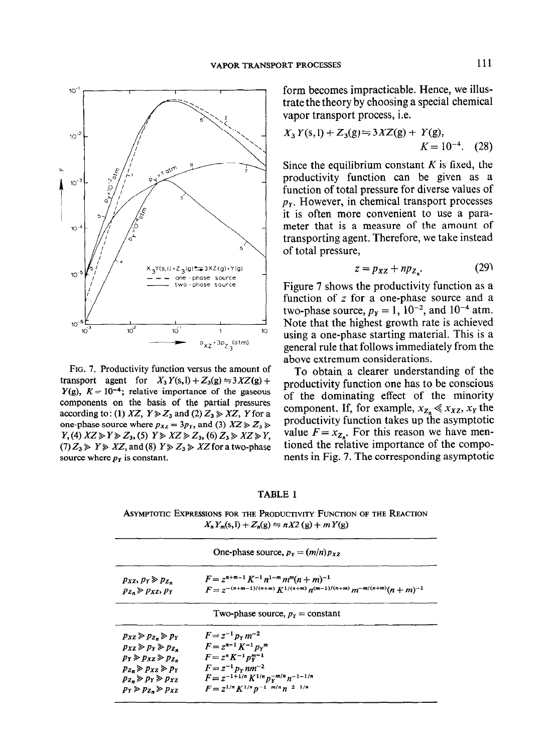

FIG. 7. Productivity function versus the amount of transport agent for  $X_3 Y(s, l) + Z_3(g) \leftrightharpoons 3XZ(g) +$  $Y(g)$ ,  $K = 10^{-4}$ ; relative importance of the gaseous components on the basis of the partial pressures according to: (1) XZ,  $Y \ge Z_3$  and (2)  $Z_3 \ge XZ$ , Y for a one-phase source where  $p_{XZ} = 3p_Y$ , and (3)  $XZ \ge Z_3 \ge$  $Y$ ,(4)  $XZ \gg Y \gg Z_3$ , (5)  $Y \gg XZ \gg Z_3$ , (6)  $Z_3 \gg XZ \gg Y$ ,  $(7) Z_3 \ge Y \ge XZ$ , and (8)  $Y \ge Z_3 \ge XZ$  for a two-phase source where  $p<sub>y</sub>$  is constant.

form becomes impracticable. Hence, we illustrate the theory by choosing a special chemical vapor transport process, i.e.

$$
X_3 Y(s, l) + Z_3(g) \ominus 3XZ(g) + Y(g),
$$
  

$$
K = 10^{-4}. \quad (28)
$$

Since the equilibrium constant  $K$  is fixed, the productivity function can be given as a function of total pressure for diverse values of  $p<sub>y</sub>$ . However, in chemical transport processes it is often more convenient to use a parameter that is a measure of the amount of transporting agent. Therefore, we take instead of total pressure,

$$
z = p_{XZ} + np_{Z_n}.\tag{29}
$$

Figure 7 shows the productivity function as a function of  $z$  for a one-phase source and a two-phase source,  $p_Y = 1$ ,  $10^{-2}$ , and  $10^{-4}$  atm. Note that the highest growth rate is achieved using a one-phase starting material. This is a general rule that follows immediately from the above extremum considerations.

To obtain a clearer understanding of the productivity function one has to be conscious of the dominating effect of the minority component. If, for example,  $x_{z_n} \ll x_{xz}, x_y$  the productivity function takes up the asymptotic value  $F = x_{z}$ . For this reason we have mentioned the relative importance of the components in Fig. 7. The corresponding asymptotic

#### TABLE I

ASYMPTOTIC EXPRESSIONS FOR THE PRODUCTIVITY FUNCTION OF THE REACTION  $X_n Y_m(s, l) + Z_n(g) \leftrightharpoons nX2(g) + mY(g)$ 

| One-phase source, $p_y = (m/n) p_{xy}$            |                                                                              |
|---------------------------------------------------|------------------------------------------------------------------------------|
| $p_{XZ}, p_Y \geqslant p_{Z}$ .                   | $F = z^{n+m-1} K^{-1} n^{1-m} m^m (n+m)^{-1}$                                |
| $p_{\lambda} \geqslant p_{\lambda Z}, p_{\gamma}$ | $F = z^{-(n+m-1)/(n+m)} K^{1/(n+m)} n^{(m-1)/(n+m)} m^{-m/(n+m)} (n+m)^{-1}$ |
|                                                   | Two-phase source, $p_Y = constant$                                           |
| $p_{XZ} \geqslant p_{Z_n} \geqslant p_Y$          | $F = z^{-1} v_{\rm v} m^{-2}$                                                |
| $p_{XZ} \geqslant p_Y \geqslant p_{Z_n}$          | $F = z^{n-1} K^{-1} p_r^m$                                                   |
| $p_Y \ge p_{XZ} \ge p_{Z}$                        | $F = z^n K^{-1} p_Y^{m-1}$                                                   |
| $p_{Z_n} \geqslant p_{XZ} \geqslant p_Y$          | $F = z^{-1} v_{r} n m^{-2}$                                                  |
| $p_{Z_n} \geqslant p_Y \geqslant p_{XZ}$          | $F = z^{-1+1/n} K^{1/n} p_v^{-m/n} n^{-1-1/n}$                               |
| $p_Y \ge p_{Z_n} \ge p_{XZ}$                      | $F = z^{1/n} K^{1/n} p^{-1-m/n} n^{-2-1/n}$                                  |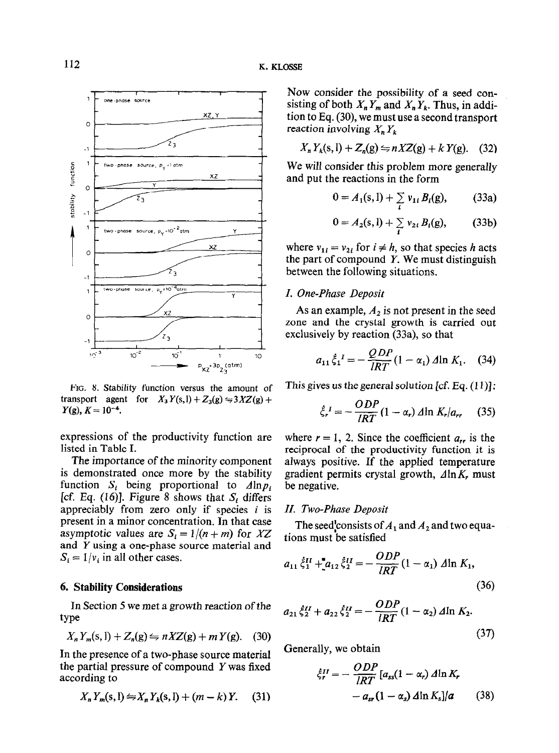

transport agent for  $X_3 Y(s, l) + Z_3(g) \leftrightharpoons 3XZ(g) +$ 

expressions of the productivity function are where  $r = 1$ , 2. Since the coefficient  $a_{rr}$  is the

function  $S_i$  being proportional to  $\Delta \ln p_i$  be negative. [cf. Eq. (16)]. Figure 8 shows that  $S_i$  differs appreciably from zero only if species  $i$  is  $II$ . Two-Phase Deposit present in a minor concentration. In that case present in a minor concentration. In that case The seed consists of  $A_1$  and  $A_2$  and two equa-<br>asymptotic values are  $S_i = 1/(n + m)$  for  $XZ$  tions must be satisfied and  $Y$  using a one-phase source material and  $S_i = 1/v_i$  in all other cases.

# 6. Stability Considerations

$$
X_n Y_m(s,1) + Z_n(g) \leftrightharpoons nXZ(g) + mY(g). \quad (30)
$$

In the presence of a two-phase source material Generally, we obtain the partial pressure of compound Y was fixed  $\zeta_r^{III} = -\frac{ODP}{IRT} [a_{ss}(1 - \alpha_r) \Delta \ln K_r]$ 

$$
X_n Y_m(s, l) \leftrightharpoons X_n Y_k(s, l) + (m - k) Y. \tag{31}
$$

Now consider the possibility of a seed consisting of both  $X_n Y_m$  and  $X_n Y_k$ . Thus, in addition to Eq. (30), we must use a second transport reaction involving  $X, Y_k$ 

$$
X_n Y_k(s, l) + Z_n(g) \leftrightharpoons nXZ(g) + kY(g). \quad (32)
$$

We wilt consider this problem more generally and put the reactions in the form

$$
0 = A_1(s, l) + \sum_i v_{1i} B_i(g), \qquad (33a)
$$

$$
0 = A_2(s, l) + \sum_{i} v_{2i} B_i(g), \qquad (33b)
$$

where  $v_{1i} = v_{2i}$  for  $i \neq h$ , so that species h acts the part of compound  $Y$ . We must distinguish between the following situations.

## I. One-Phase Deposit

As an example,  $A_2$  is not present in the seed zone and the crystal growth is carried out exclusively by reaction (33a), so that

$$
a_{11}\dot{\xi}_1{}^I = -\frac{QDP}{IRT}(1-\alpha_1) \Delta \ln K_1.
$$
 (34)

FIG. 8. Stability function versus the amount of This gives us the general solution [cf. Eq.  $(11)$ ]:

$$
\dot{\xi}_r^I = -\frac{ODP}{IRT} (1 - \alpha_r) \Delta \ln K_r / a_{rr} \tag{35}
$$

listed in Table I. reciprocal of the productivity function it is The importance of the minority component always positive. If the applied temperature is demonstrated once more by the stability gradient permits crystal growth,  $\Delta \ln K_r$  must gradient permits crystal growth,  $\Delta \ln K_r$  must

$$
a_{11} \dot{\xi}_1^H + a_{12} \dot{\xi}_2^H = -\frac{ODP}{IRT} (1 - \alpha_1) \Delta \ln K_1,
$$
\n(36)

In Section 5 we met a growth reaction of the  
type  

$$
a_{21}\xi_2^{\mu} + a_{22}\xi_2^{\mu} = -\frac{ODP}{IRT}(1 - \alpha_2) \Delta \ln K_2.
$$

$$
X_{\mu}Y_{\mu}(s, 1) + Z_{\mu}(s) = nXZ(s) + mY(s).
$$
 (30) (37)

partial pressure of compound Y was fixed  
ring to  

$$
\xi_r^H = -\frac{ODP}{IRT} [a_{ss}(1 - \alpha_r) \Delta \ln K_r
$$

$$
X_n Y_m(s, l) \Leftrightarrow X_n Y_n(s, l) + (m - k) Y. \quad (31) \qquad -a_{sr}(1 - \alpha_s) \Delta \ln K_s | a \qquad (38)
$$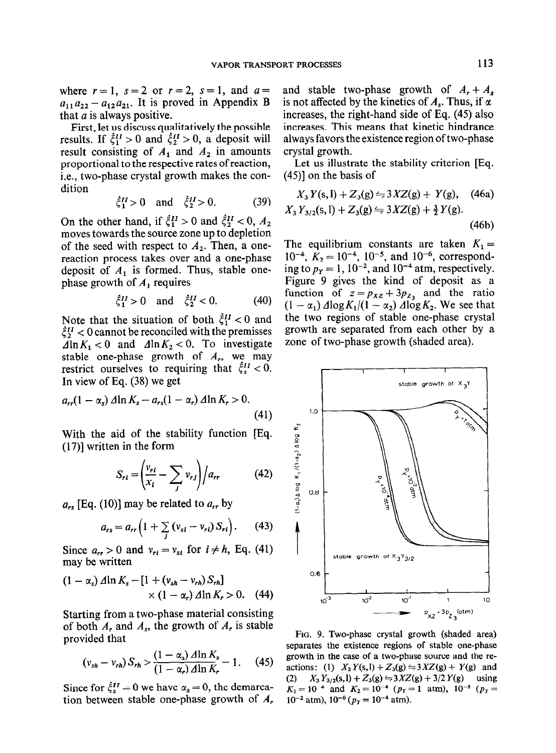where  $r=1$ ,  $s=2$  or  $r=2$ ,  $s=1$ , and  $a=$  $a_{11}a_{22} - a_{12}a_{21}$ . It is proved in Appendix B that  $a$  is always positive.

First, let us discuss qualitatively the possible results. If  $\xi_1^H > 0$  and  $\xi_2^H > 0$ , a deposit will result consisting of  $A_1$  and  $A_2$  in amounts proportional to the respective rates of reaction, i.e., two-phase crystal growth makes the condition

$$
\dot{\xi}_1^H > 0
$$
 and  $\dot{\xi}_2^H > 0.$  (39)

On the other hand, if  $\xi_1^H > 0$  and  $\xi_2^H < 0$ ,  $A_2$ moves towards the source zone up to depletion of the seed with respect to  $A_2$ . Then, a onereaction process takes over and a one-phase deposit of  $A_1$  is formed. Thus, stable onephase growth of  $A_1$  requires

$$
\dot{\xi}_1^H > 0
$$
 and  $\dot{\xi}_2^H < 0$ . (40)

Note that the situation of both  $\dot{\zeta}_1^H < 0$  and  $\xi_2^H$  < 0 cannot be reconciled with the premisses  $\Delta \ln K_1 < 0$  and  $\Delta \ln K_2 < 0$ . To investigate stable one-phase growth of  $A_r$ , we may restrict ourselves to requiring that  $\dot{\xi}_s^{II} < 0$ . In view of Eq. (38) we get

$$
a_{rr}(1-\alpha_s) \Delta \ln K_s - a_{rs}(1-\alpha_r) \Delta \ln K_r > 0.
$$
\n(41)

With the aid of the stability function [Eq. (17)] written in the form

$$
S_{rt} = \left(\frac{v_{rt}}{x_i} - \sum_j v_{rj}\right) / a_{rr} \tag{42}
$$

 $a_{rs}$  [Eq. (10)] may be related to  $a_{rr}$  by

$$
a_{rs} = a_{rr} \left( 1 + \sum_{j} \left( v_{si} - v_{ri} \right) S_{ri} \right). \tag{43}
$$

Since  $a_{rr} > 0$  and  $v_{ri} = v_{si}$  for  $i \neq h$ , Eq. (41) may be written

$$
(1 - \alpha_s) \Delta \ln K_s - [1 + (v_{sh} - v_{rh}) S_{rh}] \times (1 - \alpha_r) \Delta \ln K_r > 0. \quad (44)
$$

Starting from a two-phase material consisting of both  $A_r$ , and  $A_s$ , the growth of  $A_r$  is stable provided that

$$
(v_{sh}-v_{rh})S_{rh}>\frac{(1-\alpha_s)\,\Delta\ln K_s}{(1-\alpha_r)\,\Delta\ln K_r}-1.\qquad(45)
$$

Since for  $\xi_s^H = 0$  we have  $\alpha_s = 0$ , the demarcation between stable one-phase growth of  $A_r$  and stable two-phase growth of  $A_r + A_s$ is not affected by the kinetics of  $A_s$ . Thus, if  $\alpha$ increases, the right-hand side of Eq. (45) also increases. This means that kinetic hindrance always favors the existence region of two-phase crystal growth.

Let us illustrate the stability criterion [Eq. (45)] on the basis of

$$
X_3 Y(s, l) + Z_3(g) \le 3XZ(g) + Y(g), \quad (46a)
$$
  

$$
X_3 Y_{3/2}(s, l) + Z_3(g) \le 3XZ(g) + \frac{3}{2}Y(g).
$$
  
(46b)

The equilibrium constants are taken  $K_1 =$  $10^{-4}$ ,  $K_2 = 10^{-4}$ ,  $10^{-5}$ , and  $10^{-6}$ , corresponding to  $p_y = 1$ , 10<sup>-2</sup>, and 10<sup>-4</sup> atm, respectively. Figure 9 gives the kind of deposit as a function of  $z = p_{xz} + 3p_{z_3}$  and the ratio  $(1 - \alpha_1) \Delta \log K_1/(1 - \alpha_2) \Delta \log K_2$ . We see that the two regions of stable one-phase crystal growth are separated from each other by a zone of two-phase growth (shaded area).



FIG. 9. Two-phase crystal growth (shaded area) separates the existence regions of stable one-phase growth in the case of a two-phase source and the reactions: (1)  $X_3 Y(s, l) + Z_3(g) \Rightarrow 3XZ(g) + Y(g)$  and (2)  $X_3 Y_{3/2}(s,l) + Z_3(g) \leftrightharpoons 3XZ(g) + 3/2 Y(g)$  using  $K_1 = 10^{-4}$  and  $K_2 = 10^{-4}$  ( $p_Y = 1$  atm),  $10^{-5}$  ( $p_Y =$  $10^{-2}$  atm),  $10^{-6}$  ( $p_Y = 10^{-4}$  atm).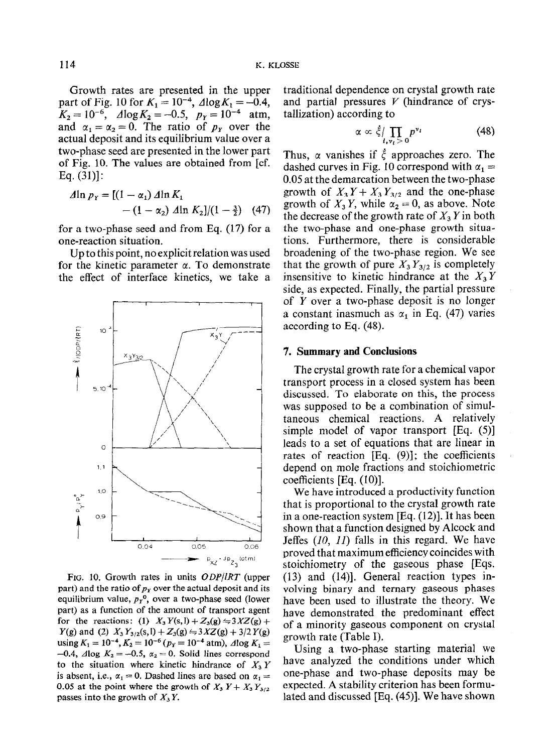Growth rates are presented in the upper part of Fig. 10 for  $K_1 = 10^{-4}$ ,  $\Delta \log K_1 = -0.4$ ,  $K_2 = 10^{-6}$ ,  $\Delta \log K_2 = -0.5$ ,  $p_Y = 10^{-4}$  atm, and  $\alpha_1 = \alpha_2 = 0$ . The ratio of  $p<sub>x</sub>$  over the actual deposit and its equilibrium value over a two-phase seed are presented in the lower part of Fig. 10. The values are obtained from [cf. Eq. (31)]:

$$
\begin{aligned} \n\Delta \ln p_Y &= \left[ (1 - \alpha_1) \, \Delta \ln K_1 \right. \\
&\quad - (1 - \alpha_2) \, \Delta \ln K_2 \right] / (1 - \frac{3}{2}) \quad (47) \n\end{aligned}
$$

for a two-phase seed and from Eq. (17) for a one-reaction situation.

Up to this point, no explicit relation was used for the kinetic parameter  $\alpha$ . To demonstrate the effect of interface kinetics, we take a



FIG. 10. Growth rates in units ODP/IRT (upper part) and the ratio of  $p<sub>x</sub>$  over the actual deposit and its equilibrium value,  $p_Y$ <sup>o</sup>, over a two-phase seed (lower part) as a function of the amount of transport agent for the reactions: (1)  $X_3 Y(s, l) + Z_3(g) \leftrightharpoons 3XZ(g) +$  $Y(g)$  and (2)  $X_3 Y_{3/2}(s, l) + Z_3(g) \leftrightharpoons 3XZ(g) + 3/2 Y(g)$ using  $K_1 = 10^{-4}$ ,  $K_2 = 10^{-6}$  ( $p_Y = 10^{-4}$  atm),  $\Delta \log K_1 =$  $-0.4$ ,  $\triangle A \log K_2 = -0.5$ ,  $\alpha_2 = 0$ . Solid lines correspond to the situation where kinetic hindrance of  $X_3 Y$ is absent, i.e.,  $\alpha_1 = 0$ . Dashed lines are based on  $\alpha_1 =$ 0.05 at the point where the growth of  $X_3 Y + X_3 Y_{3/2}$ passes into the growth of  $X<sub>3</sub>Y$ .

traditional dependence on crystal growth rate and partial pressures  $V$  (hindrance of crystallization) according to

$$
\alpha \propto \dot{\xi} / \prod_{i, v_i > 0} p^{v_i} \tag{48}
$$

Thus,  $\alpha$  vanishes if  $\dot{\xi}$  approaches zero. The dashed curves in Fig. 10 correspond with  $\alpha_1 =$ 0.05 at the demarcation between the two-phase growth of  $X_3 Y + X_3 Y_{3/2}$  and the one-phase growth of  $X_3 Y$ , while  $\alpha_2 = 0$ , as above. Note the decrease of the growth rate of  $X_3$  Y in both the two-phase and one-phase growth situations. Furthermore, there is considerable broadening of the two-phase region. We see that the growth of pure  $X_3 Y_{3/2}$  is completely insensitive to kinetic hindrance at the  $X_3 Y$ side, as expected. Finally, the partial pressure of Y over a two-phase deposit is no longer a constant inasmuch as  $\alpha_1$  in Eq. (47) varies according to Eq. (48).

#### 7. Summary and Conclusions

The crystal growth rate for a chemical vapor transport process in a closed system has been discussed. To elaborate on this, the process was supposed to be a combination of simultaneous chemical reactions. A relatively simple model of vapor transport [Eq. (5)] leads to a set of equations that are linear in rates of reaction [Eq. (9)]; the coefficients depend on mole fractions and stoichiometric coefficients [Eq. (IO)].

We have introduced a productivity function that is proportional to the crystal growth rate in a one-reaction system [Eq. (I2)]. It has been shown that a function designed by Alcock and Jeffes (IO, II) falls in this regard. We have proved that maximum efficiency coincides with stoichiometry of the gaseous phase [Eqs. (13) and (14)]. General reaction types involving binary and ternary gaseous phases have been used to illustrate the theory. We have demonstrated the predominant effect of a minority gaseous component on crystal growth rate (Table I).

Using a two-phase starting material we have analyzed the conditions under which one-phase and two-phase deposits may be expected. A stability criterion has been formulated and discussed [Eq. (45)]. We have shown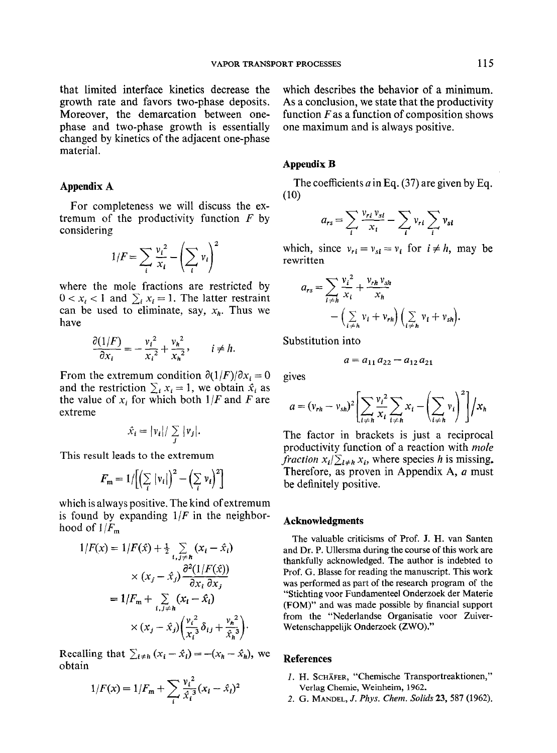that limited interface kinetics decrease the growth rate and favors two-phase deposits. Moreover, the demarcation between onephase and two-phase growth is essentially changed by kinetics of the adjacent one-phase material.

## Appendix A

For completeness we will discuss the extremum of the productivity function  $F$  by considering

$$
1/F = \sum_{i} \frac{v_i^2}{x_i} - \left(\sum_{i} v_i\right)^2
$$

where the mole fractions are restricted by  $0 < x_i < 1$  and  $\sum_i x_i = 1$ . The latter restraint can be used to eliminate, say,  $x_h$ . Thus we have

$$
\frac{\partial (1/F)}{\partial x_i} = -\frac{v_i^2}{x_i^2} + \frac{v_h^2}{x_h^2}, \qquad i \neq h.
$$

From the extremum condition  $\partial(1/F)/\partial x_i = 0$ and the restriction  $\sum_i x_i = 1$ , we obtain  $\hat{x}_i$  as the value of  $x_i$ , for which both  $1/F$  and F are extreme

$$
\hat{x}_i = |v_i| / \sum_j |v_j|.
$$

This result leads to the extremum

$$
F_{\rm m} = 1/[(\sum_{i} |v_i|)^2 - (\sum_{i} v_i)^2]
$$

which is always positive. The kind of extremum is found by expanding  $1/F$  in the neighborhood of  $1/F_{\rm m}$ ,

$$
1/F(x) = 1/F(\hat{x}) + \frac{1}{2} \sum_{i,j \neq h} (x_i - \hat{x}_i)
$$
  
 
$$
\times (x_j - \hat{x}_j) \frac{\partial^2 (1/F(\hat{x}))}{\partial x_i \partial x_j}
$$
  

$$
= 1/F_m + \sum_{i,j \neq h} (x_i - \hat{x}_i)
$$
  

$$
\times (x_j - \hat{x}_j) \left( \frac{v_i^2}{x_i^3} \delta_{ij} + \frac{v_n^2}{\hat{x}_n^3} \right).
$$

Recalling that  $\sum_{i \neq h} (x_i - \hat{x}_i) = -(x_h - \hat{x}_h)$ , we obtain

$$
1/F(x) = 1/F_m + \sum_{i} \frac{v_i^2}{\hat{x}_i^3} (x_i - \hat{x}_i)^2
$$

which describes the behavior of a minimum. As a conclusion, we state that the productivity function  $F$  as a function of composition shows one maximum and is always positive.

#### Appendix B

The coefficients a in Eq. (37) are given by Eq. (10)

$$
a_{rs} = \sum_{i} \frac{v_{ri} v_{si}}{x_i} - \sum_{i} v_{ri} \sum_{i} v_{si}
$$

which, since  $v_{ri} = v_{si} = v_i$  for  $i \neq h$ , may be rewritten

$$
a_{rs} = \sum_{i \neq h} \frac{v_i^2}{x_i} + \frac{v_{rh} v_{sh}}{x_h}
$$

$$
- \left( \sum_{i \neq h} v_i + v_{rh} \right) \left( \sum_{i \neq h} v_i + v_{sh} \right).
$$

Substitution into

$$
a = a_{11}a_{22} - a_{12}a_{21}
$$

gives

$$
a = (v_{rh} - v_{sh})^2 \left[ \sum_{i \neq h} \frac{v_i^2}{x_i} \sum_{i \neq h} x_i - \left( \sum_{i \neq h} v_i \right)^2 \right] / x_h
$$

The factor in brackets is just a reciprocal productivity function of a reaction with *mole fraction*  $x_i/\sum_{i\neq h}x_i$ , where species h is missing. Therefore, as proven in Appendix A, a must be definitely positive.

#### Acknowledgments

The valuable criticisms of Prof. J. H. van Santen and Dr. P. Ullersma during the course of this work are thankfully acknowledged. The author is indebted to Prof. G. Blasse for reading the manuscript. This work was performed as part of the research program of the "Stichting voor Fundamenteel Onderzoek der Materie (FOM)" and was made possible by financial support from the "Nederlandse Organisatie voor Zuiver-Wetenschappelijk Onderzoek (ZWO)."

#### References

- I. H. SCHAFER, "Chemische Transportreaktionen," Verlag Chemie, Weinheim, 1962.
- 2. G. MANDEL, J. Phys. Chem. Solids 23, 587 (1962).